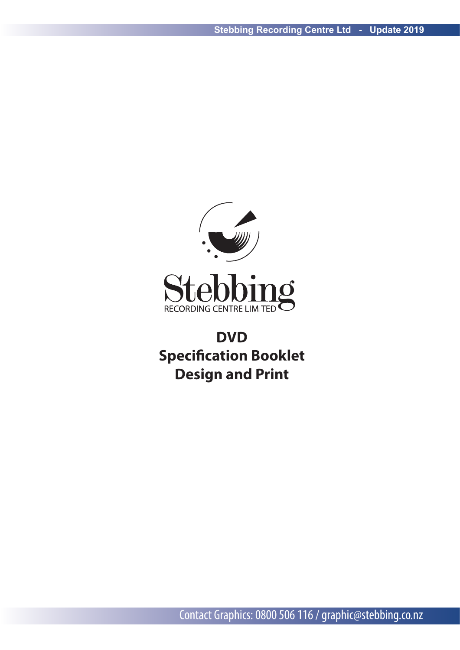

# **DVD Specification Booklet Design and Print**

Contact Graphics: 0800 506 116 / graphic@stebbing.co.nz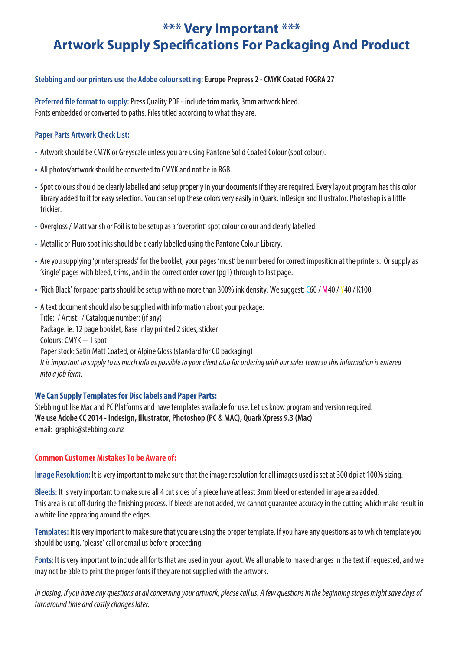## **\*\*\* Very Important \*\*\* Artwork Supply Specifications For Packaging And Product**

### **Stebbing and our printers use the Adobe colour setting:Europe Prepress 2 - CMYK Coated FOGRA 27**

**Preferred file format to supply: Press Quality PDF - include trim marks, 3mm artwork bleed.** Fonts embedded or converted to paths. Files titled according to what they are.

### **Paper Parts Artwork Check List:**

- Artwork should be CMYK or Greyscale unless you are using Pantone Solid Coated Colour (spot colour).
- All photos/artwork should be converted to CMYK and not be in RGB.
- Spot colours should be clearly labelled and setup properly in your documents if they are required. Every layout program has this color library added to it for easy selection. You can set up these colors very easily in Quark, InDesign and Illustrator. Photoshop is a little trickier.
- Overgloss / Matt varish or Foil is to be setup as a 'overprint' spot colour colour and clearly labelled.
- Metallic or Fluro spot inks should be clearly labelled using the Pantone Colour Library.
- Are you supplying 'printer spreads' for the booklet; your pages 'must' be numbered for correct imposition at the printers. Or supply as 'single' pages with bleed, trims, and in the correct order cover (pg1) through to last page.
- 'Rich Black' for paper parts should be setup with no more than 300% ink density. We suggest: C60 / M40 / Y40 / K100

• A text document should also be supplied with information about your package: Title: / Artist: / Catalogue number: (if any) Package: ie: 12 page booklet, Base Inlay printed 2 sides, sticker Colours: CMYK + 1 spot Paper stock: Satin Matt Coated, or Alpine Gloss (standard for CD packaging) *It is important to supply to as much info as possible to your client also for ordering with our sales team so this information is entered into a job form.*

### **We Can Supply Templates for Disc labels and Paper Parts:**

Stebbing utilise Mac and PC Platforms and have templates available for use. Let us know program and version required. **We use Adobe CC 2014 - Indesign, Illustrator, Photoshop (PC & MAC), Quark Xpress 9.3 (Mac)** email: graphic@stebbing.co.nz

### **Common Customer Mistakes To be Aware of:**

**Image Resolution:** It is very important to make sure that the image resolution for all images used is set at 300 dpi at 100% sizing.

**Bleeds:** It is very important to make sure all 4 cut sides of a piece have at least 3mm bleed or extended image area added. This area is cut off during the finishing process. If bleeds are not added, we cannot guarantee accuracy in the cutting which make result in a white line appearing around the edges.

**Templates:** It is very important to make sure that you are using the proper template. If you have any questions as to which template you should be using, 'please' call or email us before proceeding.

**Fonts:** It is very important to include all fonts that are used in your layout. We all unable to make changes in the text if requested, and we may not be able to print the proper fonts if they are not supplied with the artwork.

*In closing, if you have any questions at all concerning your artwork, please call us. A few questions in the beginning stages might save days of turnaround time and costly changes later.*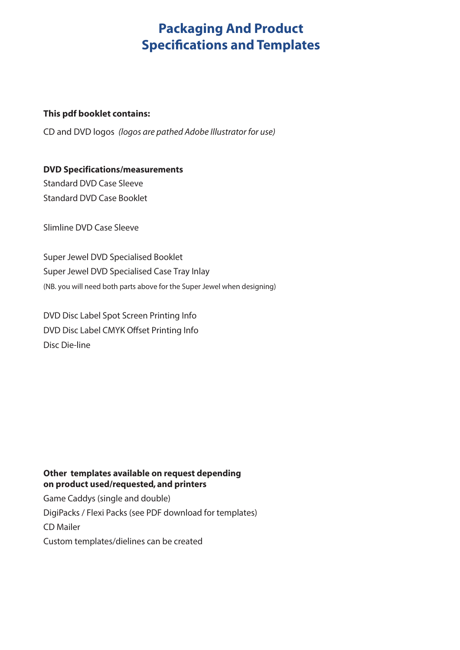## **Packaging And Product Specifications and Templates**

### **This pdf booklet contains:**

CD and DVD logos *(logos are pathed Adobe Illustrator for use)*

## **DVD Specifications/measurements**

Standard DVD Case Sleeve Standard DVD Case Booklet

Slimline DVD Case Sleeve

Super Jewel DVD Specialised Booklet Super Jewel DVD Specialised Case Tray Inlay (NB. you will need both parts above for the Super Jewel when designing)

DVD Disc Label Spot Screen Printing Info DVD Disc Label CMYK Offset Printing Info Disc Die-line

### **Other templates available on request depending on product used/requested, and printers**

Game Caddys (single and double) DigiPacks / Flexi Packs (see PDF download for templates) CD Mailer Custom templates/dielines can be created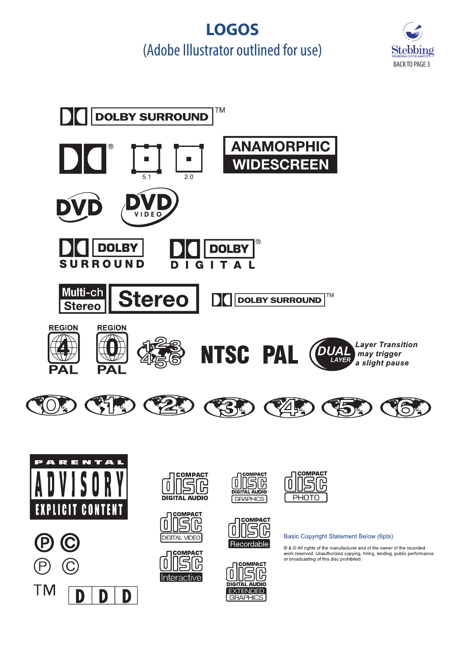# **LOGOS** (Adobe Illustrator outlined for use)



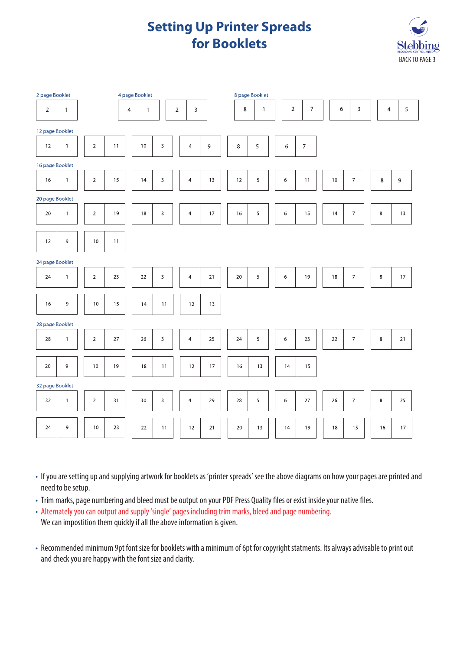## **Setting Up Printer Spreads for Booklets**



| 2 page Booklet<br>4 page Booklet |                 |                |      |                |              |              |                |                |        | 8 page Booklet |             |              |  |                |                          |        |                          |                |        |
|----------------------------------|-----------------|----------------|------|----------------|--------------|--------------|----------------|----------------|--------|----------------|-------------|--------------|--|----------------|--------------------------|--------|--------------------------|----------------|--------|
| $\overline{2}$                   | $\mathbf{1}$    |                |      | $\overline{4}$ | $\mathbf{1}$ |              | $\overline{2}$ | 3              |        |                | $\,$ 8 $\,$ | $\mathbf{1}$ |  | $\overline{2}$ | $\overline{7}$           | 6      | 3                        | $\overline{4}$ | 5      |
| 12 page Booklet                  |                 |                |      |                |              |              |                |                |        |                |             |              |  |                |                          |        |                          |                |        |
| 12                               | $\mathbf{1}$    | $\mathbf 2$    | 11   |                | 10           | $\mathsf{3}$ |                | $\overline{4}$ | 9      |                | $\,8\,$     | 5            |  | 6              | $\overline{\mathcal{I}}$ |        |                          |                |        |
| 16 page Booklet                  |                 |                |      |                |              |              |                |                |        |                |             |              |  |                |                          |        |                          |                |        |
| 16                               | $\mathbf{1}$    | $\overline{2}$ | 15   |                | 14           | 3            |                | $\overline{4}$ | 13     |                | 12          | 5            |  | 6              | 11                       | $10$   | $\overline{\phantom{a}}$ | $\,8\,$        | 9      |
| 20 page Booklet                  |                 |                |      |                |              |              |                |                |        |                |             |              |  |                |                          |        |                          |                |        |
| 20                               | $\mathbf{1}$    | $\mathsf{2}\,$ | 19   |                | 18           | 3            |                | $\overline{4}$ | $17\,$ |                | 16          | 5            |  | $\epsilon$     | 15                       | 14     | $\overline{\phantom{a}}$ | $\,$ 8 $\,$    | 13     |
| 12                               | $\mathsf 9$     | $10$           | 11   |                |              |              |                |                |        |                |             |              |  |                |                          |        |                          |                |        |
| 24 page Booklet                  |                 |                |      |                |              |              |                |                |        |                |             |              |  |                |                          |        |                          |                |        |
| 24                               | $\mathbf{1}$    | $\overline{2}$ | 23   |                | 22           | 3            |                | $\overline{4}$ | 21     |                | 20          | 5            |  | 6              | 19                       | 18     | $\boldsymbol{7}$         | 8              | 17     |
| 16                               | 9               | 10             | 15   |                | 14           | 11           |                | 12             | 13     |                |             |              |  |                |                          |        |                          |                |        |
| 28 page Booklet                  |                 |                |      |                |              |              |                |                |        |                |             |              |  |                |                          |        |                          |                |        |
| 28                               | $\mathbf{1}$    | $\mathbf 2$    | $27$ |                | 26           | 3            |                | $\overline{4}$ | 25     |                | 24          | 5            |  | $\,$ 6 $\,$    | 23                       | $22\,$ | $\overline{\phantom{a}}$ | $\,$ 8 $\,$    | $21\,$ |
| 20                               | 9               | $10$           | 19   |                | $18\,$       | 11           |                | $12$           | 17     |                | 16          | $13$         |  | 14             | 15                       |        |                          |                |        |
|                                  | 32 page Booklet |                |      |                |              |              |                |                |        |                |             |              |  |                |                          |        |                          |                |        |
| 32                               | $\mathbf{1}$    | $\mathbf 2$    | 31   |                | 30           | 3            |                | $\overline{4}$ | 29     |                | 28          | 5            |  | $\,$ 6 $\,$    | $27\,$                   | 26     | $\overline{\phantom{a}}$ | $\,8\,$        | 25     |
| 24                               | 9               | 10             | 23   |                | 22           | 11           |                | 12             | 21     |                | 20          | 13           |  | 14             | 19                       | 18     | 15                       | 16             | 17     |

• If you are setting up and supplying artwork for booklets as 'printer spreads' see the above diagrams on how your pages are printed and need to be setup.

- Trim marks, page numbering and bleed must be output on your PDF Press Quality files or exist inside your native files.
- Alternately you can output and supply 'single' pages including trim marks, bleed and page numbering. We can impostition them quickly if all the above information is given.
- Recommended minimum 9pt font size for booklets with a minimum of 6pt for copyright statments. Its always advisable to print out and check you are happy with the font size and clarity.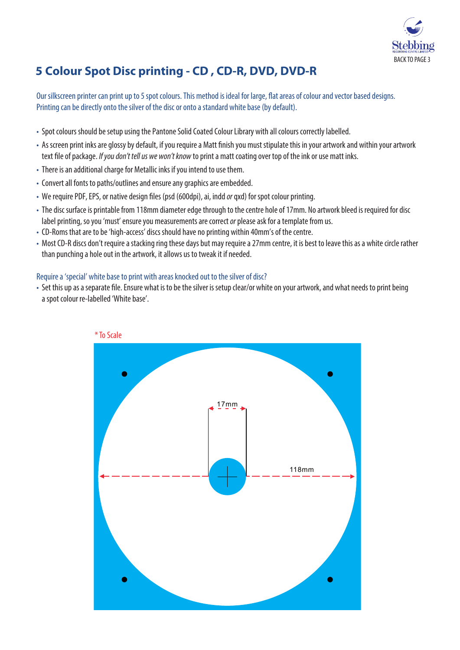

## **5 Colour Spot Disc printing - CD , CD-R, DVD, DVD-R**

Our silkscreen printer can print up to 5 spot colours. This method is ideal for large, flat areas of colour and vector based designs. Printing can be directly onto the silver of the disc or onto a standard white base (by default).

- Spot colours should be setup using the Pantone Solid Coated Colour Library with all colours correctly labelled.
- As screen print inks are glossy by default, if you require a Matt finish you must stipulate this in your artwork and within your artwork text file of package. *If you don't tell us we won't know* to print a matt coating over top of the ink or use matt inks.
- There is an additional charge for Metallic inks if you intend to use them.
- Convert all fonts to paths/outlines and ensure any graphics are embedded.
- We require PDF, EPS, or native design files (psd (600dpi), ai, indd *or* qxd) for spot colour printing.
- The disc surface is printable from 118mm diameter edge through to the centre hole of 17mm. No artwork bleed is required for disc label printing, so you 'must' ensure you measurements are correct *or* please ask for a template from us.
- CD-Roms that are to be 'high-access' discs should have no printing within 40mm's of the centre.
- Most CD-R discs don't require a stacking ring these days but may require a 27mm centre, it is best to leave this as a white circle rather than punching a hole out in the artwork, it allows us to tweak it if needed.

### Require a 'special' white base to print with areas knocked out to the silver of disc?

• Set this up as a separate file. Ensure what is to be the silver is setup clear/or white on your artwork, and what needs to print being a spot colour re-labelled 'White base'.

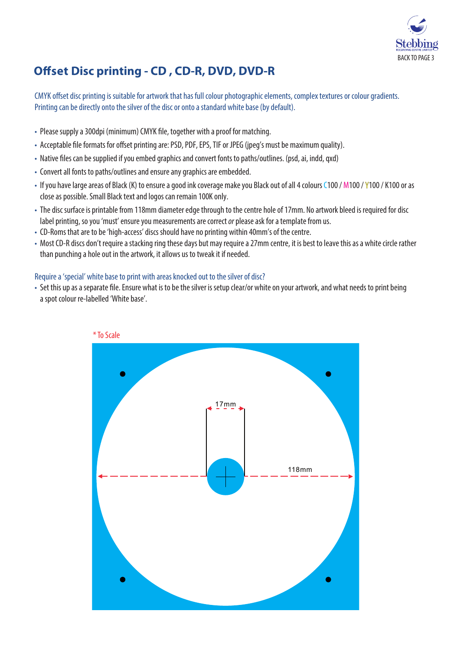

## **Offset Disc printing - CD, CD-R, DVD, DVD-R**

CMYK offset disc printing is suitable for artwork that has full colour photographic elements, complex textures or colour gradients. Printing can be directly onto the silver of the disc or onto a standard white base (by default).

- Please supply a 300dpi (minimum) CMYK file, together with a proof for matching.
- Acceptable file formats for offset printing are: PSD, PDF, EPS, TIF or JPEG (jpeg's must be maximum quality).
- Native files can be supplied if you embed graphics and convert fonts to paths/outlines. (psd, ai, indd, gxd)
- Convert all fonts to paths/outlines and ensure any graphics are embedded.
- If you have large areas of Black (K) to ensure a good ink coverage make you Black out of all 4 colours C100 / M100 / Y100 / K100 or as close as possible. Small Black text and logos can remain 100K only.
- The disc surface is printable from 118mm diameter edge through to the centre hole of 17mm. No artwork bleed is required for disc label printing, so you 'must' ensure you measurements are correct *or* please ask for a template from us.
- CD-Roms that are to be 'high-access' discs should have no printing within 40mm's of the centre.
- Most CD-R discs don't require a stacking ring these days but may require a 27mm centre, it is best to leave this as a white circle rather than punching a hole out in the artwork, it allows us to tweak it if needed.

### Require a 'special' white base to print with areas knocked out to the silver of disc?

• Set this up as a separate file. Ensure what is to be the silver is setup clear/or white on your artwork, and what needs to print being a spot colour re-labelled 'White base'.

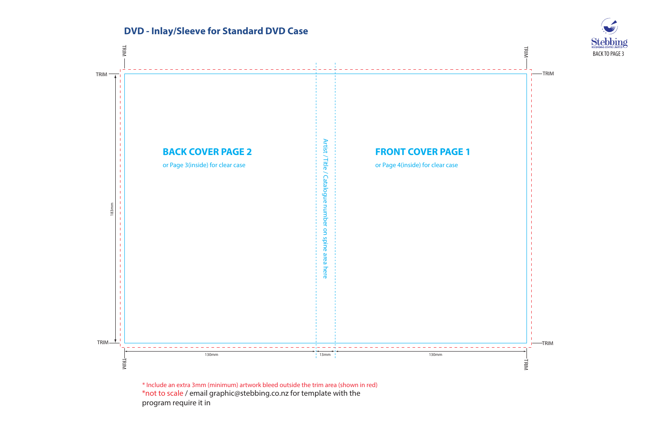

\*not to scale / email graphic@stebbing.co.nz for template with the program require it in \* Include an extra 3mm (minimum) artwork bleed outside the trim area (shown in red)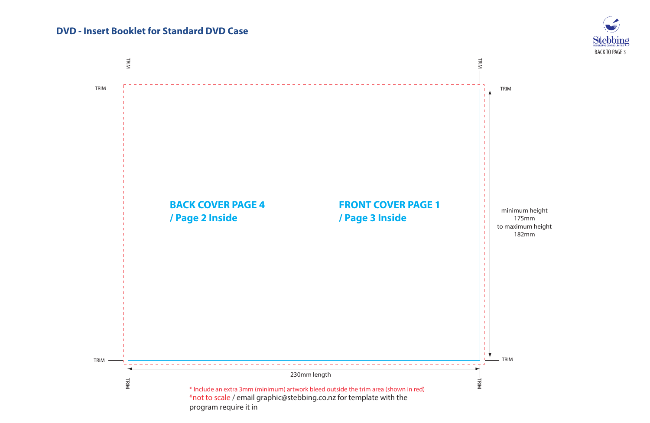

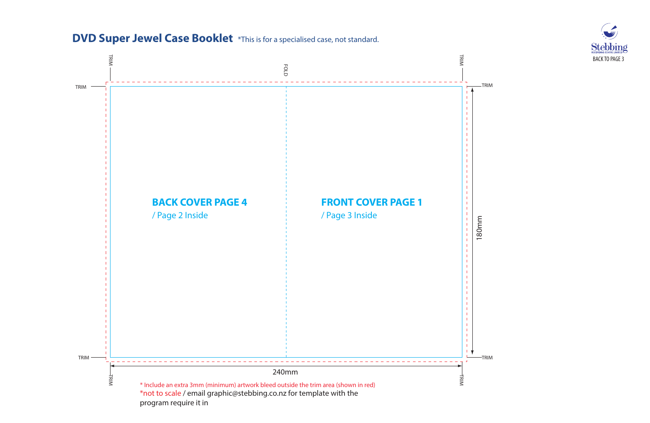

### **DVD Super Jewel Case Booklet** \*This is for a specialised case, not standard.

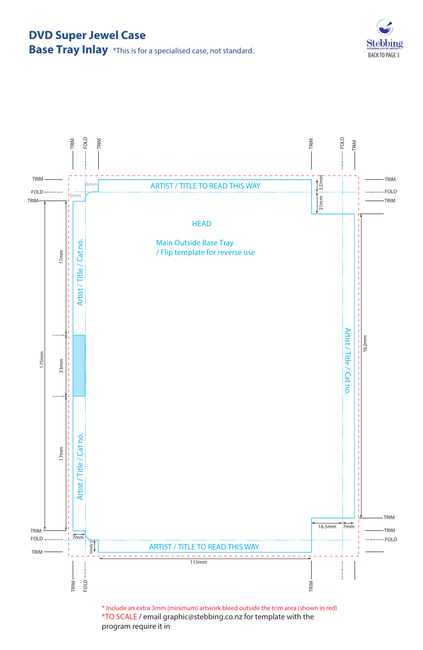## **DVD Super Jewel Case**

ebbing BACK TO PAGE 3

## **Base Tray Inlay** \*This is for a specialised case, not standard.



\*TO SCALE / email graphic@stebbing.co.nz for template with the program require it in \* Include an extra 3mm (minimum) artwork bleed outside the trim area (shown in red)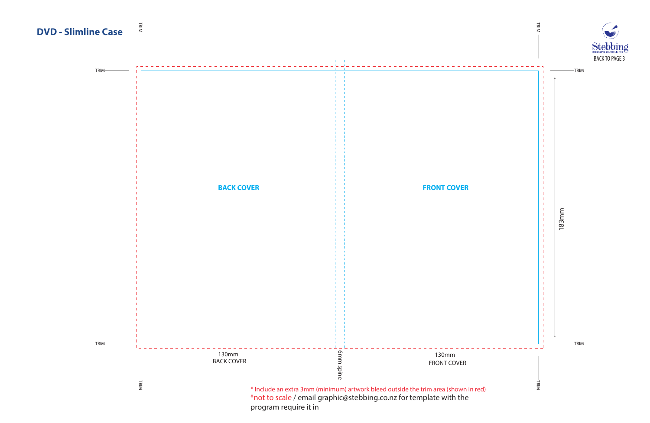